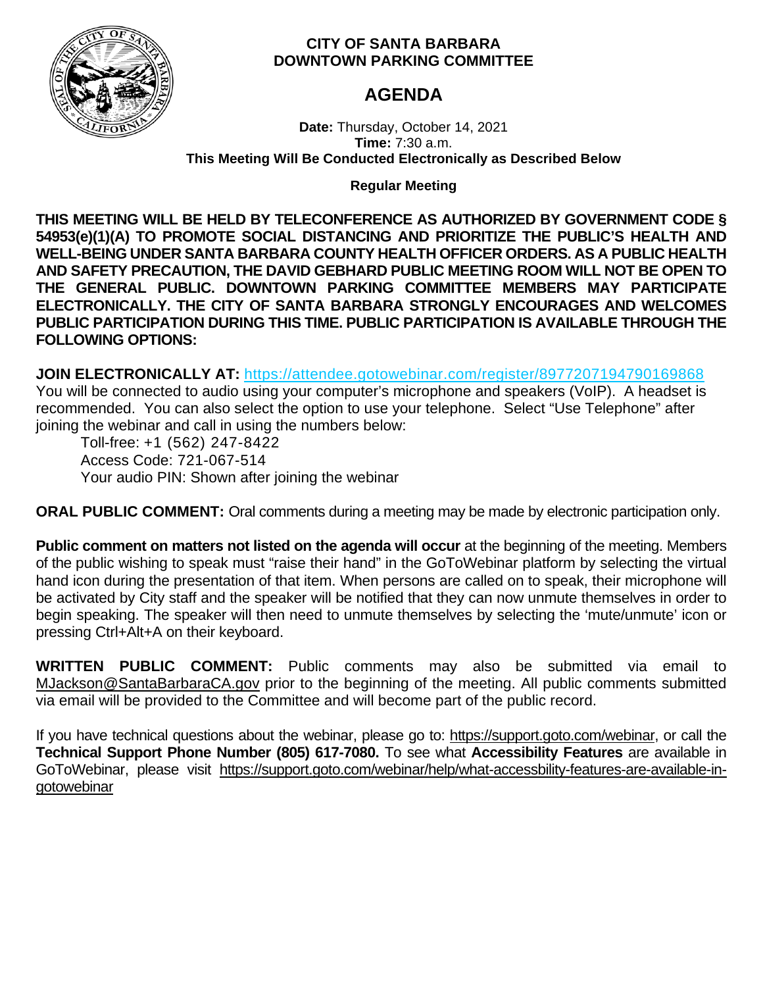

# **CITY OF SANTA BARBARA DOWNTOWN PARKING COMMITTEE**

# **AGENDA**

**Date:** Thursday, October 14, 2021 **Time:** 7:30 a.m. **This Meeting Will Be Conducted Electronically as Described Below**

**Regular Meeting**

**THIS MEETING WILL BE HELD BY TELECONFERENCE AS AUTHORIZED BY GOVERNMENT CODE § 54953(e)(1)(A) TO PROMOTE SOCIAL DISTANCING AND PRIORITIZE THE PUBLIC'S HEALTH AND WELL-BEING UNDER SANTA BARBARA COUNTY HEALTH OFFICER ORDERS. AS A PUBLIC HEALTH AND SAFETY PRECAUTION, THE DAVID GEBHARD PUBLIC MEETING ROOM WILL NOT BE OPEN TO THE GENERAL PUBLIC. DOWNTOWN PARKING COMMITTEE MEMBERS MAY PARTICIPATE ELECTRONICALLY. THE CITY OF SANTA BARBARA STRONGLY ENCOURAGES AND WELCOMES PUBLIC PARTICIPATION DURING THIS TIME. PUBLIC PARTICIPATION IS AVAILABLE THROUGH THE FOLLOWING OPTIONS:**

**JOIN ELECTRONICALLY AT:** <https://attendee.gotowebinar.com/register/8977207194790169868> You will be connected to audio using your computer's microphone and speakers (VoIP). A headset is recommended. You can also select the option to use your telephone. Select "Use Telephone" after joining the webinar and call in using the numbers below:

Toll-free: +1 (562) 247-8422 Access Code: 721-067-514 Your audio PIN: Shown after joining the webinar

**ORAL PUBLIC COMMENT:** Oral comments during a meeting may be made by electronic participation only.

**Public comment on matters not listed on the agenda will occur** at the beginning of the meeting. Members of the public wishing to speak must "raise their hand" in the GoToWebinar platform by selecting the virtual hand icon during the presentation of that item. When persons are called on to speak, their microphone will be activated by City staff and the speaker will be notified that they can now unmute themselves in order to begin speaking. The speaker will then need to unmute themselves by selecting the 'mute/unmute' icon or pressing Ctrl+Alt+A on their keyboard.

**WRITTEN PUBLIC COMMENT:** Public comments may also be submitted via email to [MJackson@SantaBarbaraCA.gov](mailto:MJackson@SantaBarbaraCA.gov) prior to the beginning of the meeting. All public comments submitted via email will be provided to the Committee and will become part of the public record.

If you have technical questions about the webinar, please go to: [https://support.goto.com/webinar,](https://support.goto.com/webinar) or call the **Technical Support Phone Number (805) 617-7080.** To see what **Accessibility Features** are available in GoToWebinar, please visit [https://support.goto.com/webinar/help/what-accessbility-features-are-available-in](https://support.goto.com/webinar/help/what-accessbility-features-are-available-in-gotowebinar)[gotowebinar](https://support.goto.com/webinar/help/what-accessbility-features-are-available-in-gotowebinar)